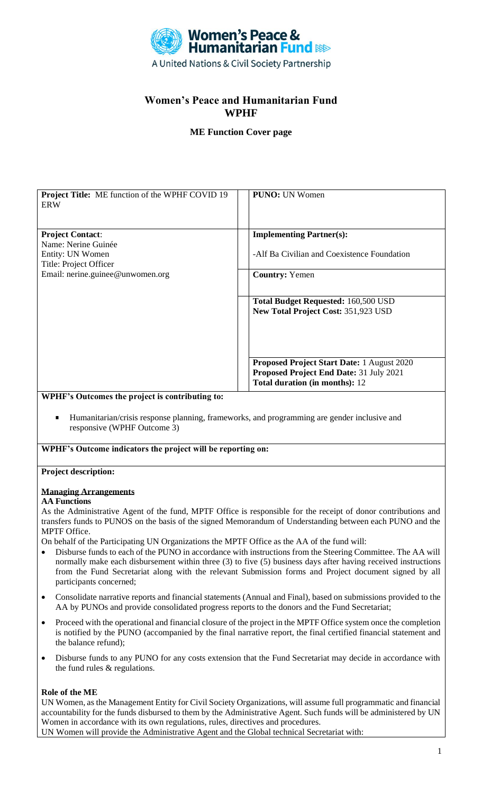

# **Women's Peace and Humanitarian Fund WPHF**

# **ME Function Cover page**

| <b>Project Title:</b> ME function of the WPHF COVID 19<br><b>ERW</b> | <b>PUNO:</b> UN Women                       |  |
|----------------------------------------------------------------------|---------------------------------------------|--|
| <b>Project Contact:</b>                                              | <b>Implementing Partner(s):</b>             |  |
| Name: Nerine Guinée                                                  |                                             |  |
| Entity: UN Women                                                     | -Alf Ba Civilian and Coexistence Foundation |  |
| Title: Project Officer                                               |                                             |  |
| Email: nerine.guinee@unwomen.org                                     | <b>Country: Yemen</b>                       |  |
|                                                                      | <b>Total Budget Requested: 160,500 USD</b>  |  |
|                                                                      | <b>New Total Project Cost: 351,923 USD</b>  |  |
|                                                                      | Proposed Project Start Date: 1 August 2020  |  |
|                                                                      | Proposed Project End Date: 31 July 2021     |  |
|                                                                      | Total duration (in months): 12              |  |
| WPHF's Outcomes the project is contributing to:                      |                                             |  |

Humanitarian/crisis response planning, frameworks, and programming are gender inclusive and responsive (WPHF Outcome 3)

#### **WPHF's Outcome indicators the project will be reporting on:**

# **Project description:**

#### **Managing Arrangements**

#### **AA Functions**

As the Administrative Agent of the fund, MPTF Office is responsible for the receipt of donor contributions and transfers funds to PUNOS on the basis of the signed Memorandum of Understanding between each PUNO and the MPTF Office.

On behalf of the Participating UN Organizations the MPTF Office as the AA of the fund will:

- Disburse funds to each of the PUNO in accordance with instructions from the Steering Committee. The AA will normally make each disbursement within three (3) to five (5) business days after having received instructions from the Fund Secretariat along with the relevant Submission forms and Project document signed by all participants concerned;
- Consolidate narrative reports and financial statements (Annual and Final), based on submissions provided to the AA by PUNOs and provide consolidated progress reports to the donors and the Fund Secretariat;
- Proceed with the operational and financial closure of the project in the MPTF Office system once the completion is notified by the PUNO (accompanied by the final narrative report, the final certified financial statement and the balance refund);
- Disburse funds to any PUNO for any costs extension that the Fund Secretariat may decide in accordance with the fund rules & regulations.

#### **Role of the ME**

UN Women, as the Management Entity for Civil Society Organizations, will assume full programmatic and financial accountability for the funds disbursed to them by the Administrative Agent. Such funds will be administered by UN Women in accordance with its own regulations, rules, directives and procedures. UN Women will provide the Administrative Agent and the Global technical Secretariat with:

1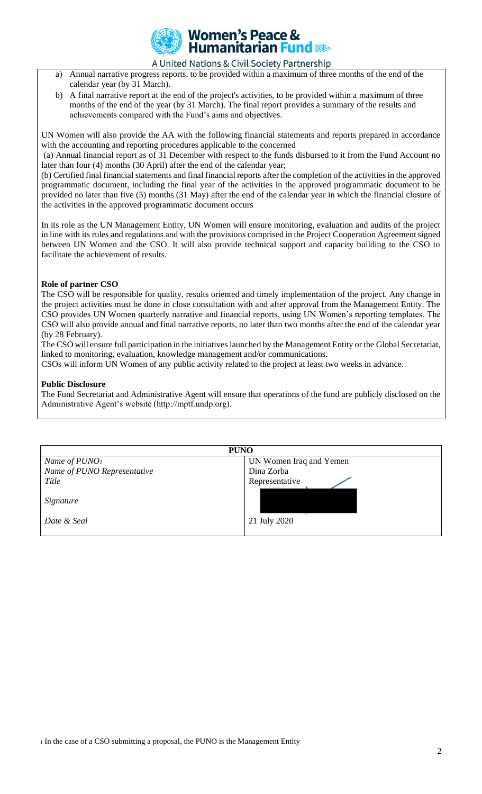

## A United Nations & Civil Society Partnership

- a) Annual narrative progress reports, to be provided within a maximum of three months of the end of the calendar year (by 31 March).
- b) A final narrative report at the end of the project's activities, to be provided within a maximum of three months of the end of the year (by 31 March). The final report provides a summary of the results and achievements compared with the Fund's aims and objectives.

UN Women will also provide the AA with the following financial statements and reports prepared in accordance with the accounting and reporting procedures applicable to the concerned

(a) Annual financial report as of 31 December with respect to the funds disbursed to it from the Fund Account no later than four (4) months (30 April) after the end of the calendar year;

(b) Certified final financial statements and final financial reports after the completion of the activities in the approved programmatic document, including the final year of the activities in the approved programmatic document to be provided no later than five (5) months (31 May) after the end of the calendar year in which the financial closure of the activities in the approved programmatic document occurs

In its role as the UN Management Entity, UN Women will ensure monitoring, evaluation and audits of the project in line with its rules and regulations and with the provisions comprised in the Project Cooperation Agreement signed between UN Women and the CSO. It will also provide technical support and capacity building to the CSO to facilitate the achievement of results.

## **Role of partner CSO**

The CSO will be responsible for quality, results oriented and timely implementation of the project. Any change in the project activities must be done in close consultation with and after approval from the Management Entity. The CSO provides UN Women quarterly narrative and financial reports, using UN Women's reporting templates. The CSO will also provide annual and final narrative reports, no later than two months after the end of the calendar year (by 28 February).

The CSO will ensure full participation in the initiatives launched by the Management Entity or the Global Secretariat, linked to monitoring, evaluation, knowledge management and/or communications.

CSOs will inform UN Women of any public activity related to the project at least two weeks in advance.

### **Public Disclosure**

The Fund Secretariat and Administrative Agent will ensure that operations of the fund are publicly disclosed on the Administrative Agent's website (http://mptf.undp.org).

| <b>PUNO</b>                 |                         |  |  |
|-----------------------------|-------------------------|--|--|
| Name of $PUNO1$             | UN Women Iraq and Yemen |  |  |
| Name of PUNO Representative | Dina Zorba              |  |  |
| Title                       | Representative          |  |  |
| Signature                   |                         |  |  |
| Date & Seal                 | 21 July 2020            |  |  |